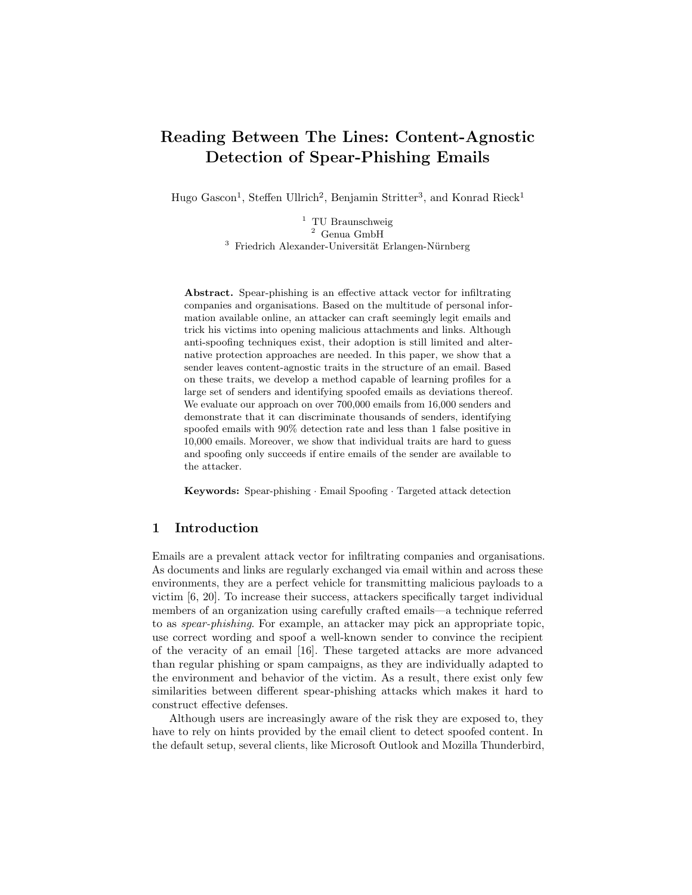# Reading Between The Lines: Content-Agnostic Detection of Spear-Phishing Emails

Hugo Gascon<sup>1</sup>, Steffen Ullrich<sup>2</sup>, Benjamin Stritter<sup>3</sup>, and Konrad Rieck<sup>1</sup>

<sup>1</sup> TU Braunschweig  $^2\,$ Genua GmbH  $3$  Friedrich Alexander-Universität Erlangen-Nürnberg

Abstract. Spear-phishing is an effective attack vector for infiltrating companies and organisations. Based on the multitude of personal information available online, an attacker can craft seemingly legit emails and trick his victims into opening malicious attachments and links. Although anti-spoofing techniques exist, their adoption is still limited and alternative protection approaches are needed. In this paper, we show that a sender leaves content-agnostic traits in the structure of an email. Based on these traits, we develop a method capable of learning profiles for a large set of senders and identifying spoofed emails as deviations thereof. We evaluate our approach on over 700,000 emails from 16,000 senders and demonstrate that it can discriminate thousands of senders, identifying spoofed emails with 90% detection rate and less than 1 false positive in 10,000 emails. Moreover, we show that individual traits are hard to guess and spoofing only succeeds if entire emails of the sender are available to the attacker.

Keywords: Spear-phishing · Email Spoofing · Targeted attack detection

# 1 Introduction

Emails are a prevalent attack vector for infiltrating companies and organisations. As documents and links are regularly exchanged via email within and across these environments, they are a perfect vehicle for transmitting malicious payloads to a victim [6, 20]. To increase their success, attackers specifically target individual members of an organization using carefully crafted emails—a technique referred to as spear-phishing. For example, an attacker may pick an appropriate topic, use correct wording and spoof a well-known sender to convince the recipient of the veracity of an email [16]. These targeted attacks are more advanced than regular phishing or spam campaigns, as they are individually adapted to the environment and behavior of the victim. As a result, there exist only few similarities between different spear-phishing attacks which makes it hard to construct effective defenses.

Although users are increasingly aware of the risk they are exposed to, they have to rely on hints provided by the email client to detect spoofed content. In the default setup, several clients, like Microsoft Outlook and Mozilla Thunderbird,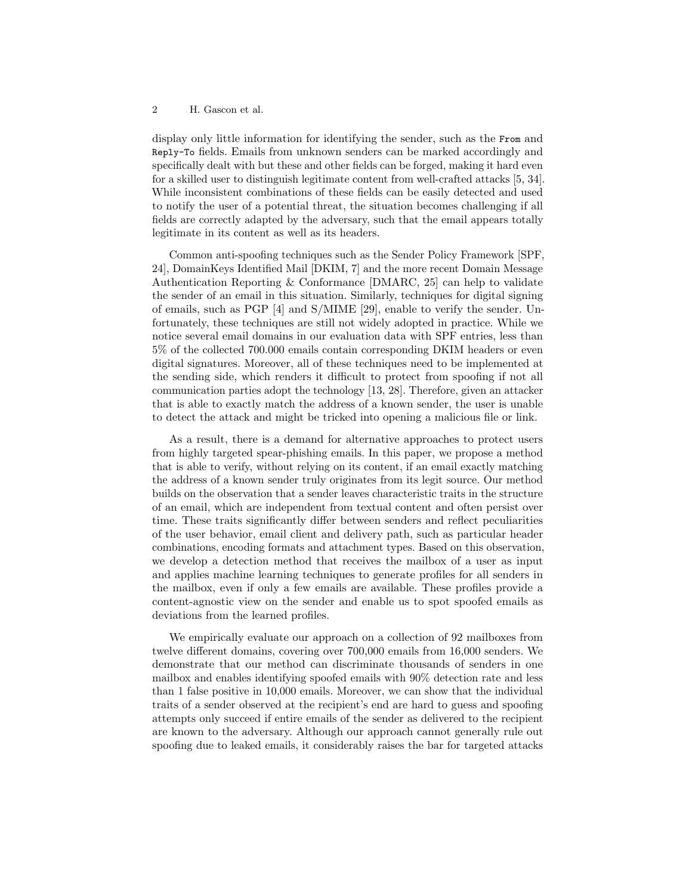display only little information for identifying the sender, such as the From and Reply-To fields. Emails from unknown senders can be marked accordingly and specifically dealt with but these and other fields can be forged, making it hard even for a skilled user to distinguish legitimate content from well-crafted attacks [5, 34]. While inconsistent combinations of these fields can be easily detected and used to notify the user of a potential threat, the situation becomes challenging if all fields are correctly adapted by the adversary, such that the email appears totally legitimate in its content as well as its headers.

Common anti-spoofing techniques such as the Sender Policy Framework [SPF, 24], DomainKeys Identified Mail [DKIM, 7] and the more recent Domain Message Authentication Reporting & Conformance [DMARC, 25] can help to validate the sender of an email in this situation. Similarly, techniques for digital signing of emails, such as PGP [4] and S/MIME [29], enable to verify the sender. Unfortunately, these techniques are still not widely adopted in practice. While we notice several email domains in our evaluation data with SPF entries, less than 5% of the collected 700.000 emails contain corresponding DKIM headers or even digital signatures. Moreover, all of these techniques need to be implemented at the sending side, which renders it difficult to protect from spoofing if not all communication parties adopt the technology [13, 28]. Therefore, given an attacker that is able to exactly match the address of a known sender, the user is unable to detect the attack and might be tricked into opening a malicious file or link.

As a result, there is a demand for alternative approaches to protect users from highly targeted spear-phishing emails. In this paper, we propose a method that is able to verify, without relying on its content, if an email exactly matching the address of a known sender truly originates from its legit source. Our method builds on the observation that a sender leaves characteristic traits in the structure of an email, which are independent from textual content and often persist over time. These traits significantly differ between senders and reflect peculiarities of the user behavior, email client and delivery path, such as particular header combinations, encoding formats and attachment types. Based on this observation, we develop a detection method that receives the mailbox of a user as input and applies machine learning techniques to generate profiles for all senders in the mailbox, even if only a few emails are available. These profiles provide a content-agnostic view on the sender and enable us to spot spoofed emails as deviations from the learned profiles.

We empirically evaluate our approach on a collection of 92 mailboxes from twelve different domains, covering over 700,000 emails from 16,000 senders. We demonstrate that our method can discriminate thousands of senders in one mailbox and enables identifying spoofed emails with 90% detection rate and less than 1 false positive in 10,000 emails. Moreover, we can show that the individual traits of a sender observed at the recipient's end are hard to guess and spoofing attempts only succeed if entire emails of the sender as delivered to the recipient are known to the adversary. Although our approach cannot generally rule out spoofing due to leaked emails, it considerably raises the bar for targeted attacks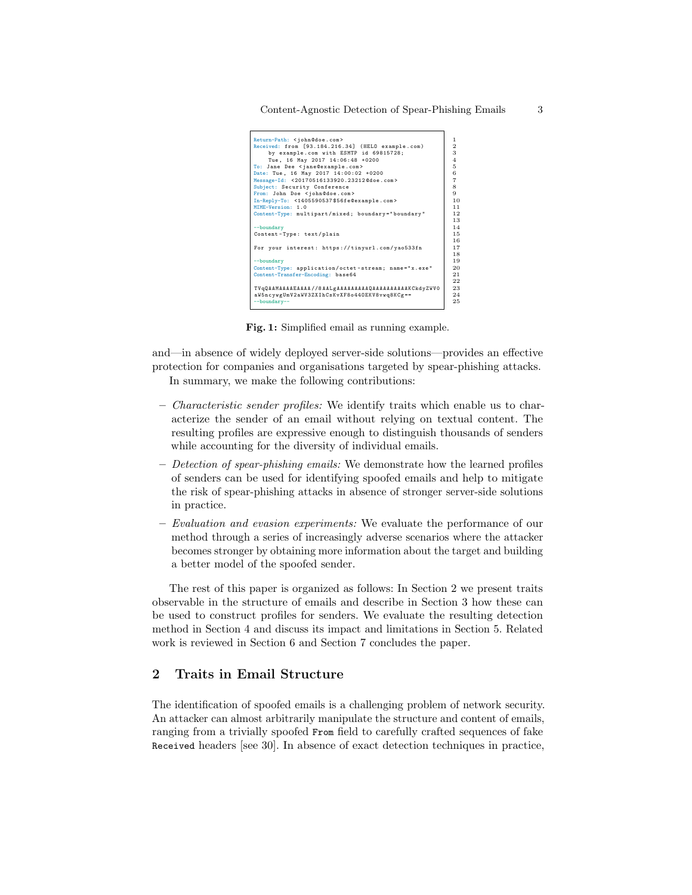

Fig. 1: Simplified email as running example.

and—in absence of widely deployed server-side solutions—provides an effective protection for companies and organisations targeted by spear-phishing attacks. In summary, we make the following contributions:

- $-$  *Characteristic sender profiles:* We identify traits which enable us to characterize the sender of an email without relying on textual content. The resulting profiles are expressive enough to distinguish thousands of senders while accounting for the diversity of individual emails.
- Detection of spear-phishing emails: We demonstrate how the learned profiles of senders can be used for identifying spoofed emails and help to mitigate the risk of spear-phishing attacks in absence of stronger server-side solutions in practice.
- Evaluation and evasion experiments: We evaluate the performance of our method through a series of increasingly adverse scenarios where the attacker becomes stronger by obtaining more information about the target and building a better model of the spoofed sender.

The rest of this paper is organized as follows: In Section 2 we present traits observable in the structure of emails and describe in Section 3 how these can be used to construct profiles for senders. We evaluate the resulting detection method in Section 4 and discuss its impact and limitations in Section 5. Related work is reviewed in Section 6 and Section 7 concludes the paper.

# 2 Traits in Email Structure

The identification of spoofed emails is a challenging problem of network security. An attacker can almost arbitrarily manipulate the structure and content of emails, ranging from a trivially spoofed From field to carefully crafted sequences of fake Received headers [see 30]. In absence of exact detection techniques in practice,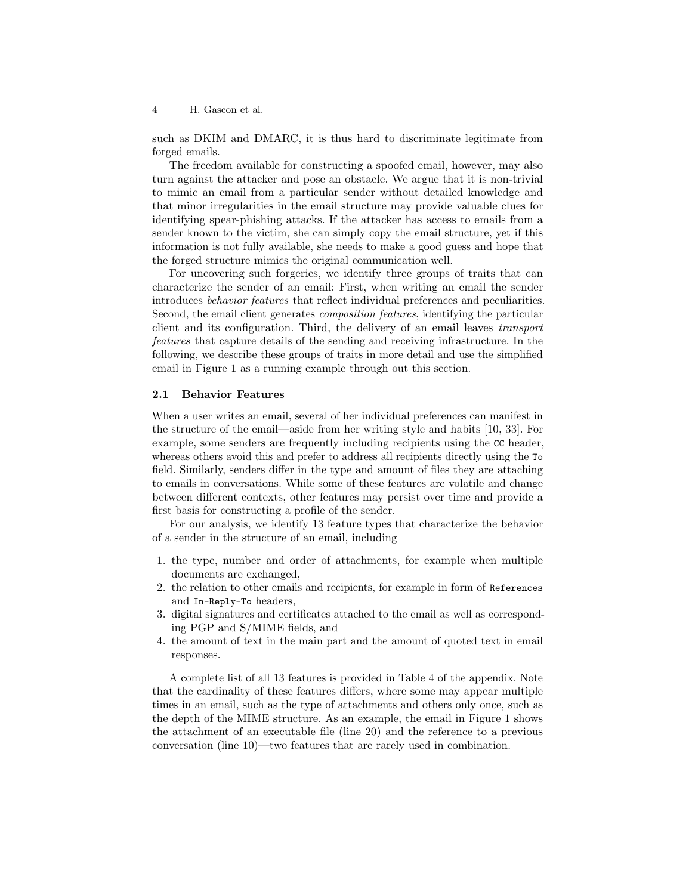such as DKIM and DMARC, it is thus hard to discriminate legitimate from forged emails.

The freedom available for constructing a spoofed email, however, may also turn against the attacker and pose an obstacle. We argue that it is non-trivial to mimic an email from a particular sender without detailed knowledge and that minor irregularities in the email structure may provide valuable clues for identifying spear-phishing attacks. If the attacker has access to emails from a sender known to the victim, she can simply copy the email structure, yet if this information is not fully available, she needs to make a good guess and hope that the forged structure mimics the original communication well.

For uncovering such forgeries, we identify three groups of traits that can characterize the sender of an email: First, when writing an email the sender introduces behavior features that reflect individual preferences and peculiarities. Second, the email client generates composition features, identifying the particular client and its configuration. Third, the delivery of an email leaves transport features that capture details of the sending and receiving infrastructure. In the following, we describe these groups of traits in more detail and use the simplified email in Figure 1 as a running example through out this section.

### 2.1 Behavior Features

When a user writes an email, several of her individual preferences can manifest in the structure of the email—aside from her writing style and habits [10, 33]. For example, some senders are frequently including recipients using the CC header, whereas others avoid this and prefer to address all recipients directly using the To field. Similarly, senders differ in the type and amount of files they are attaching to emails in conversations. While some of these features are volatile and change between different contexts, other features may persist over time and provide a first basis for constructing a profile of the sender.

For our analysis, we identify 13 feature types that characterize the behavior of a sender in the structure of an email, including

- 1. the type, number and order of attachments, for example when multiple documents are exchanged,
- 2. the relation to other emails and recipients, for example in form of References and In-Reply-To headers,
- 3. digital signatures and certificates attached to the email as well as corresponding PGP and S/MIME fields, and
- 4. the amount of text in the main part and the amount of quoted text in email responses.

A complete list of all 13 features is provided in Table 4 of the appendix. Note that the cardinality of these features differs, where some may appear multiple times in an email, such as the type of attachments and others only once, such as the depth of the MIME structure. As an example, the email in Figure 1 shows the attachment of an executable file (line 20) and the reference to a previous conversation (line 10)—two features that are rarely used in combination.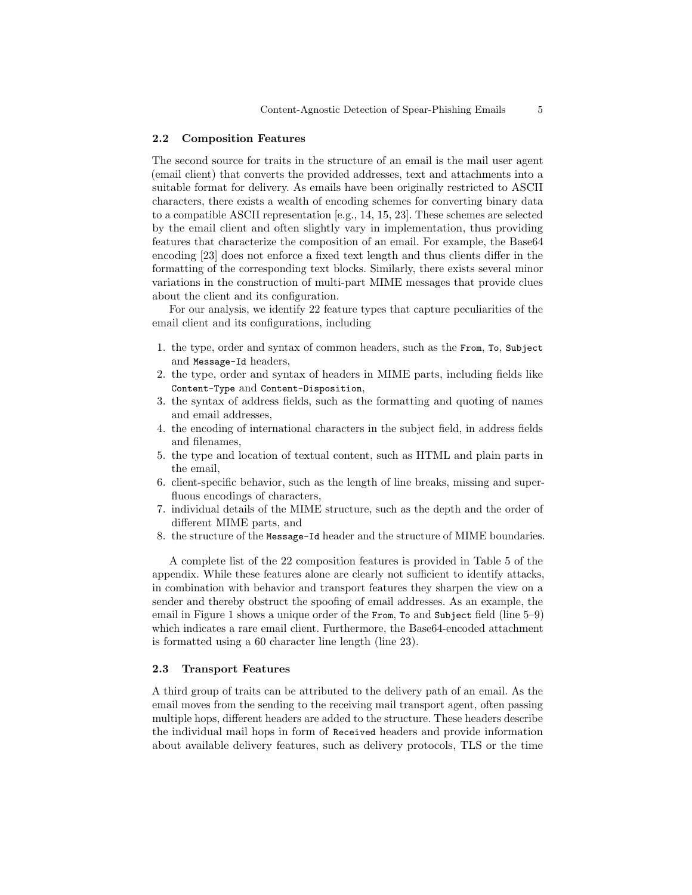#### 2.2 Composition Features

The second source for traits in the structure of an email is the mail user agent (email client) that converts the provided addresses, text and attachments into a suitable format for delivery. As emails have been originally restricted to ASCII characters, there exists a wealth of encoding schemes for converting binary data to a compatible ASCII representation [e.g., 14, 15, 23]. These schemes are selected by the email client and often slightly vary in implementation, thus providing features that characterize the composition of an email. For example, the Base64 encoding [23] does not enforce a fixed text length and thus clients differ in the formatting of the corresponding text blocks. Similarly, there exists several minor variations in the construction of multi-part MIME messages that provide clues about the client and its configuration.

For our analysis, we identify 22 feature types that capture peculiarities of the email client and its configurations, including

- 1. the type, order and syntax of common headers, such as the From, To, Subject and Message-Id headers,
- 2. the type, order and syntax of headers in MIME parts, including fields like Content-Type and Content-Disposition,
- 3. the syntax of address fields, such as the formatting and quoting of names and email addresses,
- 4. the encoding of international characters in the subject field, in address fields and filenames,
- 5. the type and location of textual content, such as HTML and plain parts in the email,
- 6. client-specific behavior, such as the length of line breaks, missing and superfluous encodings of characters,
- 7. individual details of the MIME structure, such as the depth and the order of different MIME parts, and
- 8. the structure of the Message-Id header and the structure of MIME boundaries.

A complete list of the 22 composition features is provided in Table 5 of the appendix. While these features alone are clearly not sufficient to identify attacks, in combination with behavior and transport features they sharpen the view on a sender and thereby obstruct the spoofing of email addresses. As an example, the email in Figure 1 shows a unique order of the From, To and Subject field (line 5–9) which indicates a rare email client. Furthermore, the Base64-encoded attachment is formatted using a 60 character line length (line 23).

### 2.3 Transport Features

A third group of traits can be attributed to the delivery path of an email. As the email moves from the sending to the receiving mail transport agent, often passing multiple hops, different headers are added to the structure. These headers describe the individual mail hops in form of Received headers and provide information about available delivery features, such as delivery protocols, TLS or the time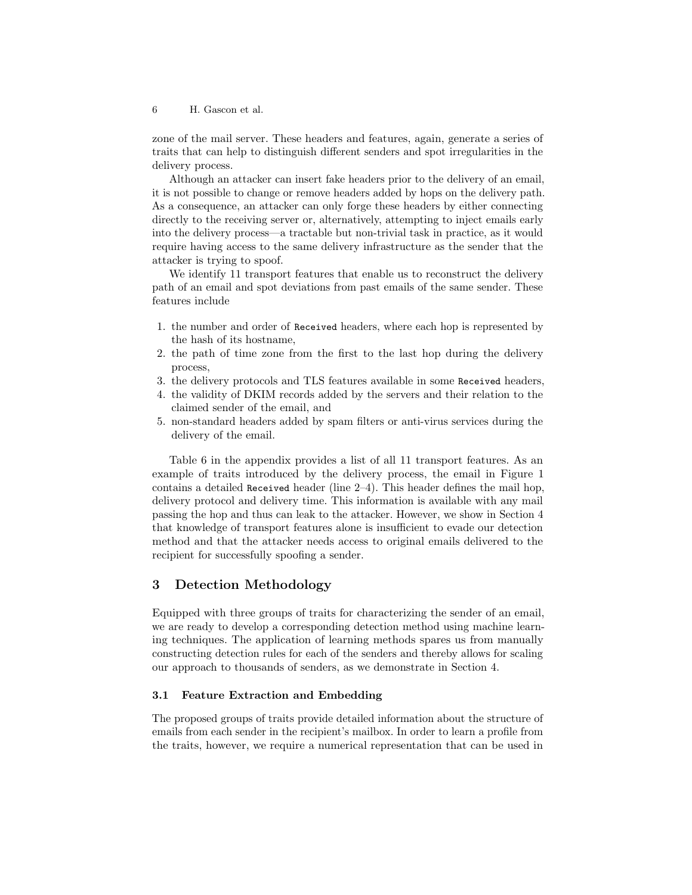zone of the mail server. These headers and features, again, generate a series of traits that can help to distinguish different senders and spot irregularities in the delivery process.

Although an attacker can insert fake headers prior to the delivery of an email, it is not possible to change or remove headers added by hops on the delivery path. As a consequence, an attacker can only forge these headers by either connecting directly to the receiving server or, alternatively, attempting to inject emails early into the delivery process—a tractable but non-trivial task in practice, as it would require having access to the same delivery infrastructure as the sender that the attacker is trying to spoof.

We identify 11 transport features that enable us to reconstruct the delivery path of an email and spot deviations from past emails of the same sender. These features include

- 1. the number and order of Received headers, where each hop is represented by the hash of its hostname,
- 2. the path of time zone from the first to the last hop during the delivery process,
- 3. the delivery protocols and TLS features available in some Received headers,
- 4. the validity of DKIM records added by the servers and their relation to the claimed sender of the email, and
- 5. non-standard headers added by spam filters or anti-virus services during the delivery of the email.

Table 6 in the appendix provides a list of all 11 transport features. As an example of traits introduced by the delivery process, the email in Figure 1 contains a detailed Received header (line 2–4). This header defines the mail hop, delivery protocol and delivery time. This information is available with any mail passing the hop and thus can leak to the attacker. However, we show in Section 4 that knowledge of transport features alone is insufficient to evade our detection method and that the attacker needs access to original emails delivered to the recipient for successfully spoofing a sender.

# 3 Detection Methodology

Equipped with three groups of traits for characterizing the sender of an email, we are ready to develop a corresponding detection method using machine learning techniques. The application of learning methods spares us from manually constructing detection rules for each of the senders and thereby allows for scaling our approach to thousands of senders, as we demonstrate in Section 4.

## 3.1 Feature Extraction and Embedding

The proposed groups of traits provide detailed information about the structure of emails from each sender in the recipient's mailbox. In order to learn a profile from the traits, however, we require a numerical representation that can be used in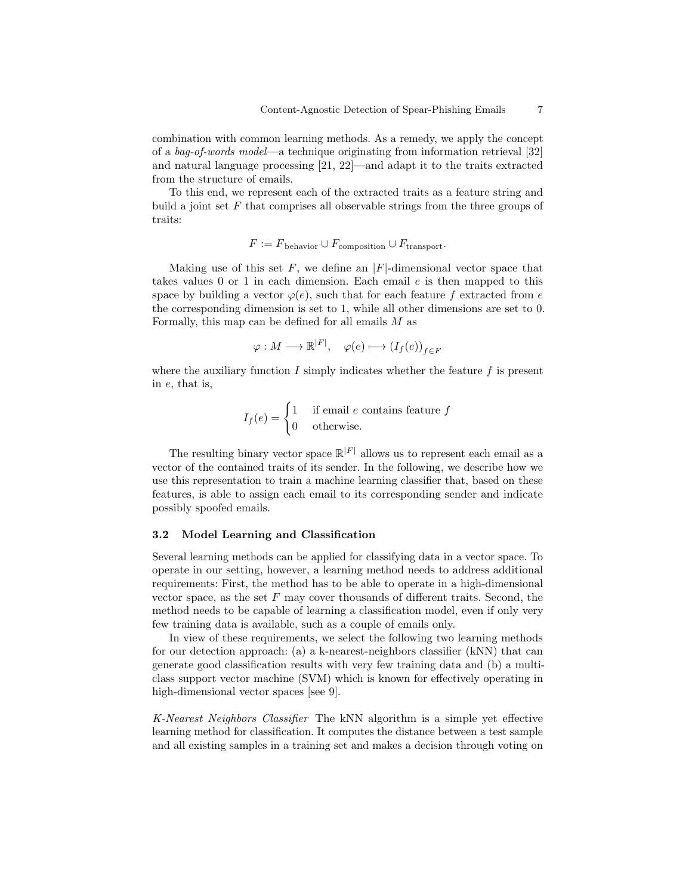combination with common learning methods. As a remedy, we apply the concept of a bag-of-words model—a technique originating from information retrieval [32] and natural language processing [21, 22]—and adapt it to the traits extracted from the structure of emails.

To this end, we represent each of the extracted traits as a feature string and build a joint set  $F$  that comprises all observable strings from the three groups of traits:

# $F := F_{\text{behavior}} \cup F_{\text{composition}} \cup F_{\text{transport}}.$

Making use of this set  $F$ , we define an  $|F|$ -dimensional vector space that takes values 0 or 1 in each dimension. Each email e is then mapped to this space by building a vector  $\varphi(e)$ , such that for each feature f extracted from e the corresponding dimension is set to 1, while all other dimensions are set to 0. Formally, this map can be defined for all emails M as

$$
\varphi: M \longrightarrow \mathbb{R}^{|F|}, \quad \varphi(e) \longmapsto (I_f(e))_{f \in F}
$$

where the auxiliary function  $I$  simply indicates whether the feature  $f$  is present in e, that is,

$$
I_f(e) = \begin{cases} 1 & \text{if email } e \text{ contains feature } f \\ 0 & \text{otherwise.} \end{cases}
$$

The resulting binary vector space  $\mathbb{R}^{|F|}$  allows us to represent each email as a vector of the contained traits of its sender. In the following, we describe how we use this representation to train a machine learning classifier that, based on these features, is able to assign each email to its corresponding sender and indicate possibly spoofed emails.

#### 3.2 Model Learning and Classification

Several learning methods can be applied for classifying data in a vector space. To operate in our setting, however, a learning method needs to address additional requirements: First, the method has to be able to operate in a high-dimensional vector space, as the set  $F$  may cover thousands of different traits. Second, the method needs to be capable of learning a classification model, even if only very few training data is available, such as a couple of emails only.

In view of these requirements, we select the following two learning methods for our detection approach: (a) a k-nearest-neighbors classifier (kNN) that can generate good classification results with very few training data and (b) a multiclass support vector machine (SVM) which is known for effectively operating in high-dimensional vector spaces [see 9].

K-Nearest Neighbors Classifier The kNN algorithm is a simple yet effective learning method for classification. It computes the distance between a test sample and all existing samples in a training set and makes a decision through voting on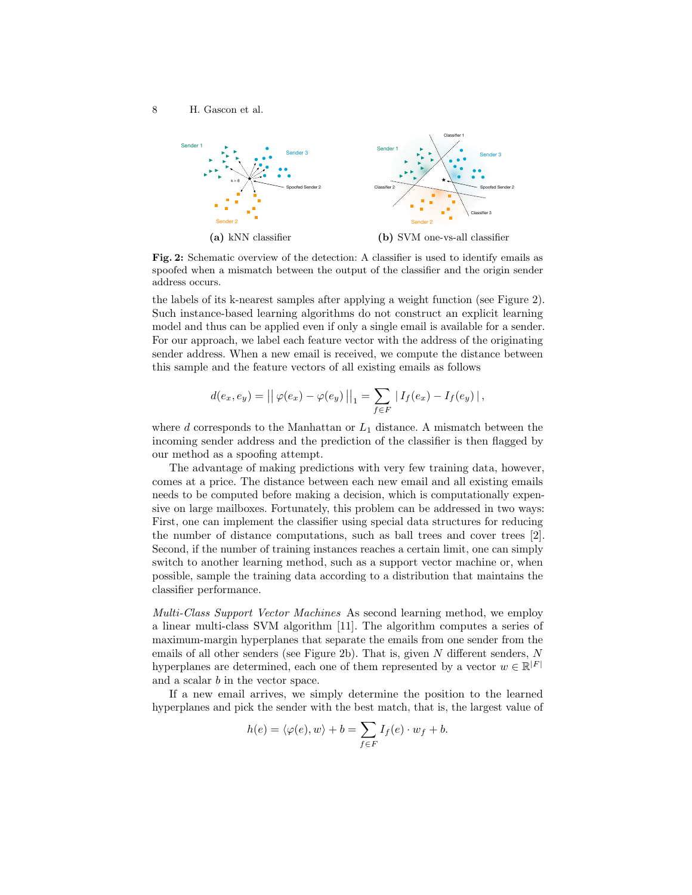

Fig. 2: Schematic overview of the detection: A classifier is used to identify emails as spoofed when a mismatch between the output of the classifier and the origin sender address occurs.

the labels of its k-nearest samples after applying a weight function (see Figure 2). Such instance-based learning algorithms do not construct an explicit learning model and thus can be applied even if only a single email is available for a sender. For our approach, we label each feature vector with the address of the originating sender address. When a new email is received, we compute the distance between this sample and the feature vectors of all existing emails as follows

$$
d(e_x, e_y) = || \varphi(e_x) - \varphi(e_y) ||_1 = \sum_{f \in F} |I_f(e_x) - I_f(e_y)|,
$$

where  $d$  corresponds to the Manhattan or  $L_1$  distance. A mismatch between the incoming sender address and the prediction of the classifier is then flagged by our method as a spoofing attempt.

The advantage of making predictions with very few training data, however, comes at a price. The distance between each new email and all existing emails needs to be computed before making a decision, which is computationally expensive on large mailboxes. Fortunately, this problem can be addressed in two ways: First, one can implement the classifier using special data structures for reducing the number of distance computations, such as ball trees and cover trees [2]. Second, if the number of training instances reaches a certain limit, one can simply switch to another learning method, such as a support vector machine or, when possible, sample the training data according to a distribution that maintains the classifier performance.

Multi-Class Support Vector Machines As second learning method, we employ a linear multi-class SVM algorithm [11]. The algorithm computes a series of maximum-margin hyperplanes that separate the emails from one sender from the emails of all other senders (see Figure 2b). That is, given  $N$  different senders,  $N$ hyperplanes are determined, each one of them represented by a vector  $w \in \mathbb{R}^{|F|}$ and a scalar b in the vector space.

If a new email arrives, we simply determine the position to the learned hyperplanes and pick the sender with the best match, that is, the largest value of

$$
h(e) = \langle \varphi(e), w \rangle + b = \sum_{f \in F} I_f(e) \cdot w_f + b.
$$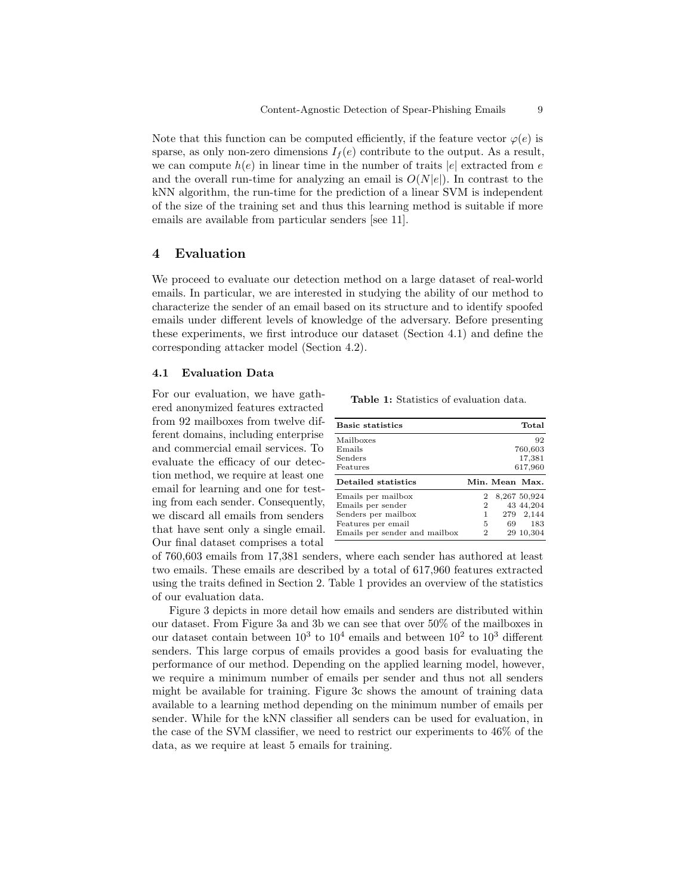Note that this function can be computed efficiently, if the feature vector  $\varphi(e)$  is sparse, as only non-zero dimensions  $I_f(e)$  contribute to the output. As a result, we can compute  $h(e)$  in linear time in the number of traits  $|e|$  extracted from e and the overall run-time for analyzing an email is  $O(N|e|)$ . In contrast to the kNN algorithm, the run-time for the prediction of a linear SVM is independent of the size of the training set and thus this learning method is suitable if more emails are available from particular senders [see 11].

# 4 Evaluation

We proceed to evaluate our detection method on a large dataset of real-world emails. In particular, we are interested in studying the ability of our method to characterize the sender of an email based on its structure and to identify spoofed emails under different levels of knowledge of the adversary. Before presenting these experiments, we first introduce our dataset (Section 4.1) and define the corresponding attacker model (Section 4.2).

#### 4.1 Evaluation Data

For our evaluation, we have gathered anonymized features extracted from 92 mailboxes from twelve different domains, including enterprise and commercial email services. To evaluate the efficacy of our detection method, we require at least one email for learning and one for testing from each sender. Consequently, we discard all emails from senders that have sent only a single email. Our final dataset comprises a total

| <b>Basic statistics</b>       |   |                | Total        |
|-------------------------------|---|----------------|--------------|
| Mailboxes                     |   |                | 92           |
| Emails                        |   |                | 760,603      |
| Senders                       |   |                | 17,381       |
| Features                      |   |                | 617,960      |
| Detailed statistics           |   | Min. Mean Max. |              |
| Emails per mailbox            | 2 |                | 8,267 50,924 |
| Emails per sender             | 2 |                | 43 44,204    |
| Senders per mailbox           | 1 |                | 279 2,144    |
| Features per email            | 5 | 69.            | 183          |
| Emails per sender and mailbox | 2 |                | 29 10,304    |

of 760,603 emails from 17,381 senders, where each sender has authored at least two emails. These emails are described by a total of 617,960 features extracted using the traits defined in Section 2. Table 1 provides an overview of the statistics of our evaluation data.

Figure 3 depicts in more detail how emails and senders are distributed within our dataset. From Figure 3a and 3b we can see that over 50% of the mailboxes in our dataset contain between  $10^3$  to  $10^4$  emails and between  $10^2$  to  $10^3$  different senders. This large corpus of emails provides a good basis for evaluating the performance of our method. Depending on the applied learning model, however, we require a minimum number of emails per sender and thus not all senders might be available for training. Figure 3c shows the amount of training data available to a learning method depending on the minimum number of emails per sender. While for the kNN classifier all senders can be used for evaluation, in the case of the SVM classifier, we need to restrict our experiments to 46% of the data, as we require at least 5 emails for training.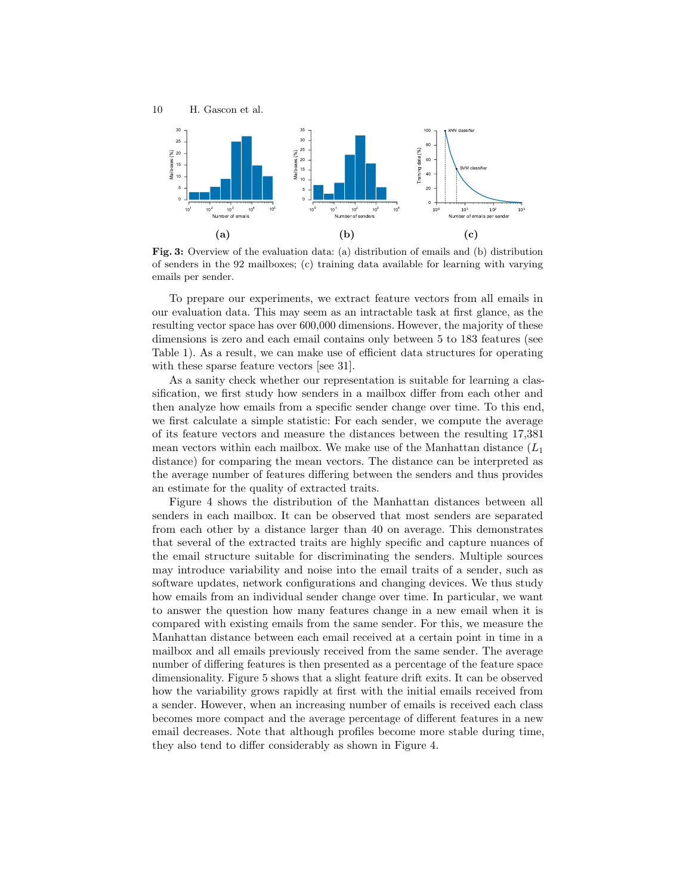

Fig. 3: Overview of the evaluation data: (a) distribution of emails and (b) distribution of senders in the 92 mailboxes; (c) training data available for learning with varying emails per sender.

To prepare our experiments, we extract feature vectors from all emails in our evaluation data. This may seem as an intractable task at first glance, as the resulting vector space has over 600,000 dimensions. However, the majority of these dimensions is zero and each email contains only between 5 to 183 features (see Table 1). As a result, we can make use of efficient data structures for operating with these sparse feature vectors [see 31].

As a sanity check whether our representation is suitable for learning a classification, we first study how senders in a mailbox differ from each other and then analyze how emails from a specific sender change over time. To this end, we first calculate a simple statistic: For each sender, we compute the average of its feature vectors and measure the distances between the resulting 17,381 mean vectors within each mailbox. We make use of the Manhattan distance  $(L_1)$ distance) for comparing the mean vectors. The distance can be interpreted as the average number of features differing between the senders and thus provides an estimate for the quality of extracted traits.

Figure 4 shows the distribution of the Manhattan distances between all senders in each mailbox. It can be observed that most senders are separated from each other by a distance larger than 40 on average. This demonstrates that several of the extracted traits are highly specific and capture nuances of the email structure suitable for discriminating the senders. Multiple sources may introduce variability and noise into the email traits of a sender, such as software updates, network configurations and changing devices. We thus study how emails from an individual sender change over time. In particular, we want to answer the question how many features change in a new email when it is compared with existing emails from the same sender. For this, we measure the Manhattan distance between each email received at a certain point in time in a mailbox and all emails previously received from the same sender. The average number of differing features is then presented as a percentage of the feature space dimensionality. Figure 5 shows that a slight feature drift exits. It can be observed how the variability grows rapidly at first with the initial emails received from a sender. However, when an increasing number of emails is received each class becomes more compact and the average percentage of different features in a new email decreases. Note that although profiles become more stable during time, they also tend to differ considerably as shown in Figure 4.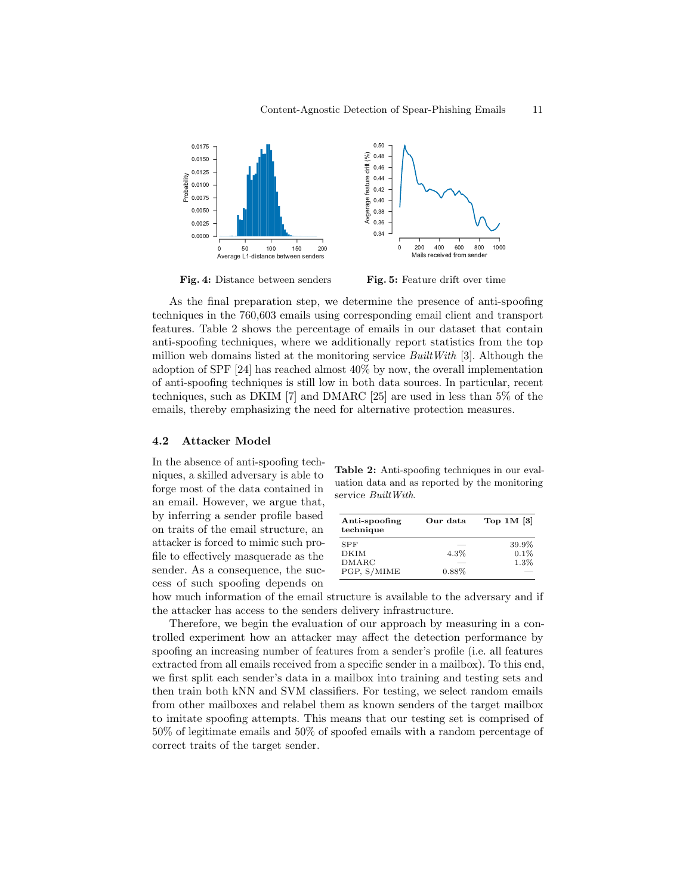

Fig. 4: Distance between senders

Fig. 5: Feature drift over time

As the final preparation step, we determine the presence of anti-spoofing techniques in the 760,603 emails using corresponding email client and transport features. Table 2 shows the percentage of emails in our dataset that contain anti-spoofing techniques, where we additionally report statistics from the top million web domains listed at the monitoring service BuiltWith [3]. Although the adoption of SPF  $[24]$  has reached almost  $40\%$  by now, the overall implementation of anti-spoofing techniques is still low in both data sources. In particular, recent techniques, such as DKIM [7] and DMARC [25] are used in less than 5% of the emails, thereby emphasizing the need for alternative protection measures.

#### 4.2 Attacker Model

In the absence of anti-spoofing techniques, a skilled adversary is able to forge most of the data contained in an email. However, we argue that, by inferring a sender profile based on traits of the email structure, an attacker is forced to mimic such profile to effectively masquerade as the sender. As a consequence, the success of such spoofing depends on

Table 2: Anti-spoofing techniques in our evaluation data and as reported by the monitoring service  $BuildWith$ .

| Anti-spoofing<br>technique | Our data | Top $1M$ [3] |
|----------------------------|----------|--------------|
| <b>SPF</b>                 |          | 39.9%        |
| <b>DKIM</b>                | 4.3%     | 0.1%         |
| <b>DMARC</b>               |          | 1.3%         |
| PGP, S/MIME                | 0.88%    |              |

how much information of the email structure is available to the adversary and if the attacker has access to the senders delivery infrastructure.

Therefore, we begin the evaluation of our approach by measuring in a controlled experiment how an attacker may affect the detection performance by spoofing an increasing number of features from a sender's profile (i.e. all features extracted from all emails received from a specific sender in a mailbox). To this end, we first split each sender's data in a mailbox into training and testing sets and then train both kNN and SVM classifiers. For testing, we select random emails from other mailboxes and relabel them as known senders of the target mailbox to imitate spoofing attempts. This means that our testing set is comprised of 50% of legitimate emails and 50% of spoofed emails with a random percentage of correct traits of the target sender.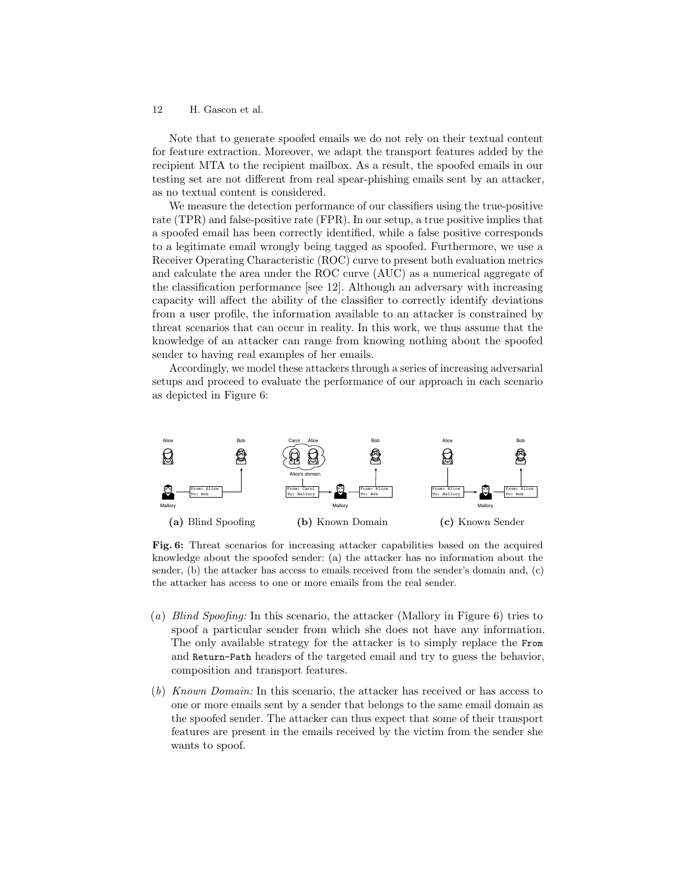Note that to generate spoofed emails we do not rely on their textual content for feature extraction. Moreover, we adapt the transport features added by the recipient MTA to the recipient mailbox. As a result, the spoofed emails in our testing set are not different from real spear-phishing emails sent by an attacker, as no textual content is considered.

We measure the detection performance of our classifiers using the true-positive rate (TPR) and false-positive rate (FPR). In our setup, a true positive implies that a spoofed email has been correctly identified, while a false positive corresponds to a legitimate email wrongly being tagged as spoofed. Furthermore, we use a Receiver Operating Characteristic (ROC) curve to present both evaluation metrics and calculate the area under the ROC curve (AUC) as a numerical aggregate of the classification performance [see 12]. Although an adversary with increasing capacity will affect the ability of the classifier to correctly identify deviations from a user profile, the information available to an attacker is constrained by threat scenarios that can occur in reality. In this work, we thus assume that the knowledge of an attacker can range from knowing nothing about the spoofed sender to having real examples of her emails.

Accordingly, we model these attackers through a series of increasing adversarial setups and proceed to evaluate the performance of our approach in each scenario as depicted in Figure 6:



Fig. 6: Threat scenarios for increasing attacker capabilities based on the acquired knowledge about the spoofed sender: (a) the attacker has no information about the sender, (b) the attacker has access to emails received from the sender's domain and, (c) the attacker has access to one or more emails from the real sender.

- (a) Blind Spoofing: In this scenario, the attacker (Mallory in Figure 6) tries to spoof a particular sender from which she does not have any information. The only available strategy for the attacker is to simply replace the From and Return-Path headers of the targeted email and try to guess the behavior, composition and transport features.
- (b) Known Domain: In this scenario, the attacker has received or has access to one or more emails sent by a sender that belongs to the same email domain as the spoofed sender. The attacker can thus expect that some of their transport features are present in the emails received by the victim from the sender she wants to spoof.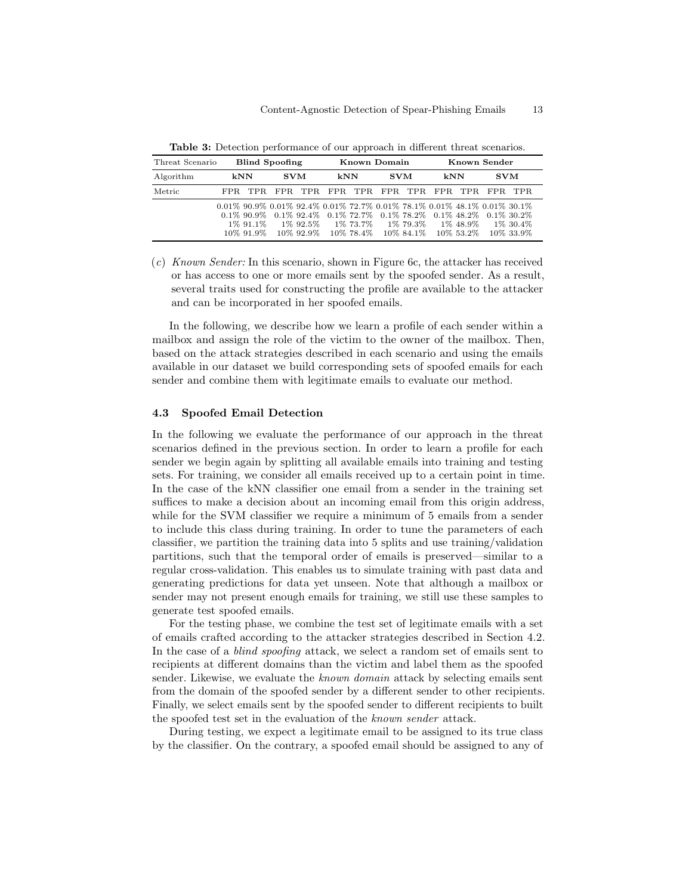| Threat Scenario | <b>Blind Spoofing</b> |                       |     | Known Domain |  |                   | Known Sender |            |     |  |                                                                                                                                                                                                                                                                                         |  |
|-----------------|-----------------------|-----------------------|-----|--------------|--|-------------------|--------------|------------|-----|--|-----------------------------------------------------------------------------------------------------------------------------------------------------------------------------------------------------------------------------------------------------------------------------------------|--|
| Algorithm       | kNN                   |                       | SVM |              |  | kNN               |              | <b>SVM</b> | kNN |  | <b>SVM</b>                                                                                                                                                                                                                                                                              |  |
| Metric          |                       |                       |     |              |  |                   |              |            |     |  | FPR TPR FPR TPR FPR TPR FPR TPR FPR TPR FPR TPR                                                                                                                                                                                                                                         |  |
|                 |                       | 1% 91.1%<br>10% 91.9% |     |              |  | 1% 92.5% 1% 73.7% |              |            |     |  | $0.01\%$ 90.9% $0.01\%$ 92.4% $0.01\%$ 72.7% $0.01\%$ 78.1% $0.01\%$ 48.1% $0.01\%$ 30.1%<br>$0.1\%$ 90.9% $0.1\%$ 92.4% $0.1\%$ 72.7% $0.1\%$ 78.2% $0.1\%$ 48.2% $0.1\%$ 30.2%<br>$1\%$ 79.3\% $1\%$ 48.9\% 1\% 30.4\%<br>10\% 92.9\% 10\% 78.4\% 10\% 84.1\% 10\% 53.2\% 10\% 33.9\% |  |

Table 3: Detection performance of our approach in different threat scenarios.

(c) Known Sender: In this scenario, shown in Figure 6c, the attacker has received or has access to one or more emails sent by the spoofed sender. As a result, several traits used for constructing the profile are available to the attacker and can be incorporated in her spoofed emails.

In the following, we describe how we learn a profile of each sender within a mailbox and assign the role of the victim to the owner of the mailbox. Then, based on the attack strategies described in each scenario and using the emails available in our dataset we build corresponding sets of spoofed emails for each sender and combine them with legitimate emails to evaluate our method.

#### 4.3 Spoofed Email Detection

In the following we evaluate the performance of our approach in the threat scenarios defined in the previous section. In order to learn a profile for each sender we begin again by splitting all available emails into training and testing sets. For training, we consider all emails received up to a certain point in time. In the case of the kNN classifier one email from a sender in the training set suffices to make a decision about an incoming email from this origin address, while for the SVM classifier we require a minimum of 5 emails from a sender to include this class during training. In order to tune the parameters of each classifier, we partition the training data into 5 splits and use training/validation partitions, such that the temporal order of emails is preserved—similar to a regular cross-validation. This enables us to simulate training with past data and generating predictions for data yet unseen. Note that although a mailbox or sender may not present enough emails for training, we still use these samples to generate test spoofed emails.

For the testing phase, we combine the test set of legitimate emails with a set of emails crafted according to the attacker strategies described in Section 4.2. In the case of a *blind spoofing* attack, we select a random set of emails sent to recipients at different domains than the victim and label them as the spoofed sender. Likewise, we evaluate the known domain attack by selecting emails sent from the domain of the spoofed sender by a different sender to other recipients. Finally, we select emails sent by the spoofed sender to different recipients to built the spoofed test set in the evaluation of the known sender attack.

During testing, we expect a legitimate email to be assigned to its true class by the classifier. On the contrary, a spoofed email should be assigned to any of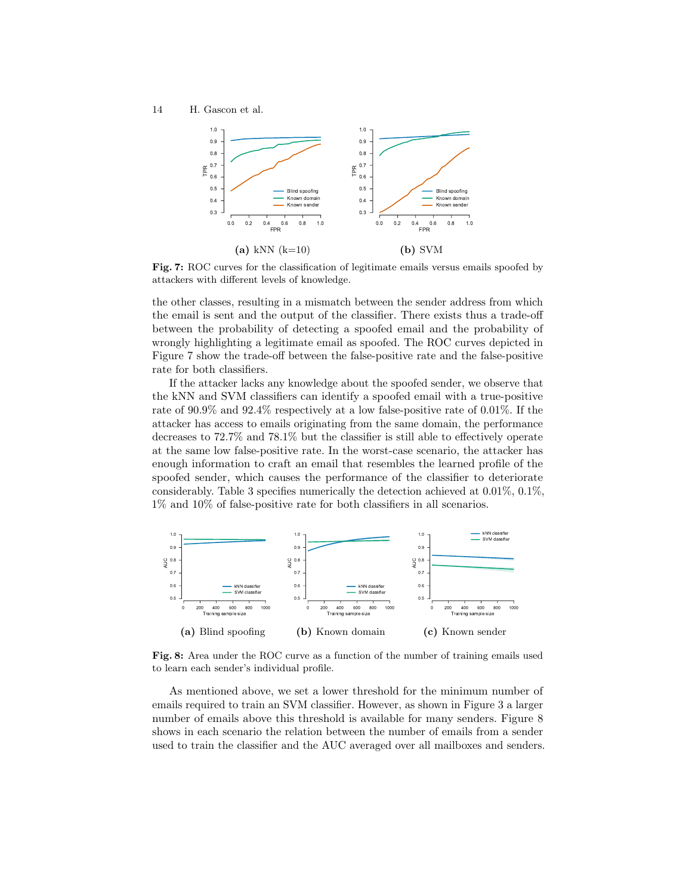14 H. Gascon et al.



Fig. 7: ROC curves for the classification of legitimate emails versus emails spoofed by attackers with different levels of knowledge.

the other classes, resulting in a mismatch between the sender address from which the email is sent and the output of the classifier. There exists thus a trade-off between the probability of detecting a spoofed email and the probability of wrongly highlighting a legitimate email as spoofed. The ROC curves depicted in Figure 7 show the trade-off between the false-positive rate and the false-positive rate for both classifiers.

If the attacker lacks any knowledge about the spoofed sender, we observe that the kNN and SVM classifiers can identify a spoofed email with a true-positive rate of 90.9% and 92.4% respectively at a low false-positive rate of 0.01%. If the attacker has access to emails originating from the same domain, the performance decreases to 72.7% and 78.1% but the classifier is still able to effectively operate at the same low false-positive rate. In the worst-case scenario, the attacker has enough information to craft an email that resembles the learned profile of the spoofed sender, which causes the performance of the classifier to deteriorate considerably. Table 3 specifies numerically the detection achieved at 0.01%, 0.1%, 1% and 10% of false-positive rate for both classifiers in all scenarios.



Fig. 8: Area under the ROC curve as a function of the number of training emails used to learn each sender's individual profile.

As mentioned above, we set a lower threshold for the minimum number of emails required to train an SVM classifier. However, as shown in Figure 3 a larger number of emails above this threshold is available for many senders. Figure 8 shows in each scenario the relation between the number of emails from a sender used to train the classifier and the AUC averaged over all mailboxes and senders.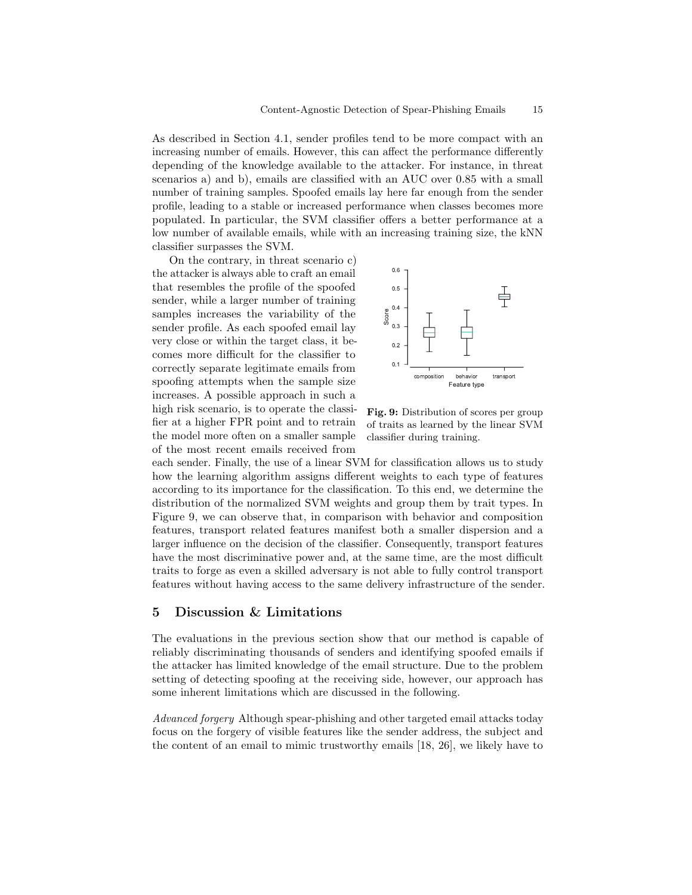As described in Section 4.1, sender profiles tend to be more compact with an increasing number of emails. However, this can affect the performance differently depending of the knowledge available to the attacker. For instance, in threat scenarios a) and b), emails are classified with an AUC over 0.85 with a small number of training samples. Spoofed emails lay here far enough from the sender profile, leading to a stable or increased performance when classes becomes more populated. In particular, the SVM classifier offers a better performance at a low number of available emails, while with an increasing training size, the kNN classifier surpasses the SVM.

On the contrary, in threat scenario c) the attacker is always able to craft an email that resembles the profile of the spoofed sender, while a larger number of training samples increases the variability of the sender profile. As each spoofed email lay very close or within the target class, it becomes more difficult for the classifier to correctly separate legitimate emails from spoofing attempts when the sample size increases. A possible approach in such a high risk scenario, is to operate the classifier at a higher FPR point and to retrain the model more often on a smaller sample of the most recent emails received from



Fig. 9: Distribution of scores per group of traits as learned by the linear SVM classifier during training.

each sender. Finally, the use of a linear SVM for classification allows us to study how the learning algorithm assigns different weights to each type of features according to its importance for the classification. To this end, we determine the distribution of the normalized SVM weights and group them by trait types. In Figure 9, we can observe that, in comparison with behavior and composition features, transport related features manifest both a smaller dispersion and a larger influence on the decision of the classifier. Consequently, transport features have the most discriminative power and, at the same time, are the most difficult traits to forge as even a skilled adversary is not able to fully control transport features without having access to the same delivery infrastructure of the sender.

## 5 Discussion & Limitations

The evaluations in the previous section show that our method is capable of reliably discriminating thousands of senders and identifying spoofed emails if the attacker has limited knowledge of the email structure. Due to the problem setting of detecting spoofing at the receiving side, however, our approach has some inherent limitations which are discussed in the following.

Advanced forgery Although spear-phishing and other targeted email attacks today focus on the forgery of visible features like the sender address, the subject and the content of an email to mimic trustworthy emails [18, 26], we likely have to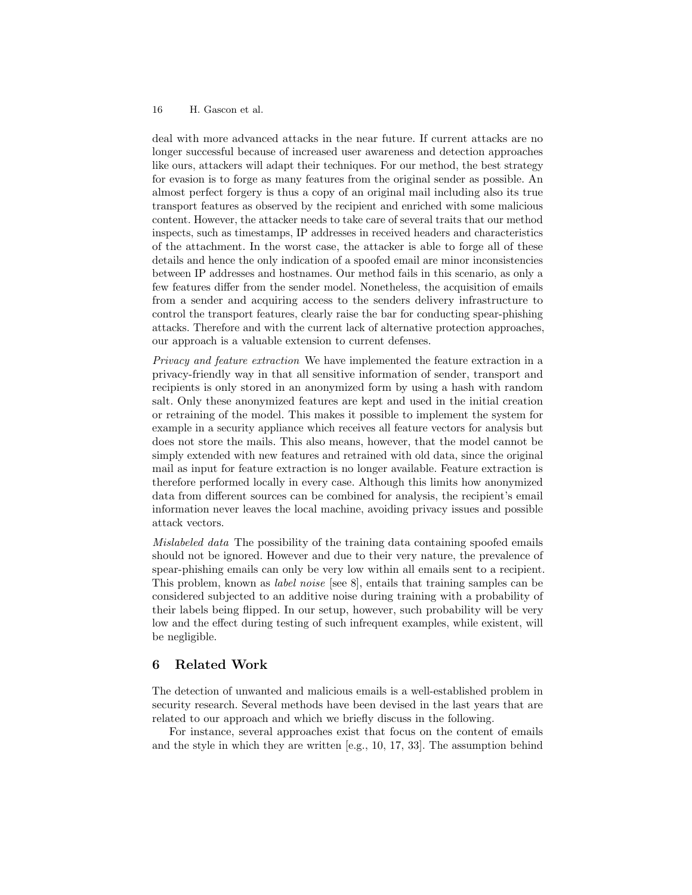deal with more advanced attacks in the near future. If current attacks are no longer successful because of increased user awareness and detection approaches like ours, attackers will adapt their techniques. For our method, the best strategy for evasion is to forge as many features from the original sender as possible. An almost perfect forgery is thus a copy of an original mail including also its true transport features as observed by the recipient and enriched with some malicious content. However, the attacker needs to take care of several traits that our method inspects, such as timestamps, IP addresses in received headers and characteristics of the attachment. In the worst case, the attacker is able to forge all of these details and hence the only indication of a spoofed email are minor inconsistencies between IP addresses and hostnames. Our method fails in this scenario, as only a few features differ from the sender model. Nonetheless, the acquisition of emails from a sender and acquiring access to the senders delivery infrastructure to control the transport features, clearly raise the bar for conducting spear-phishing attacks. Therefore and with the current lack of alternative protection approaches, our approach is a valuable extension to current defenses.

Privacy and feature extraction We have implemented the feature extraction in a privacy-friendly way in that all sensitive information of sender, transport and recipients is only stored in an anonymized form by using a hash with random salt. Only these anonymized features are kept and used in the initial creation or retraining of the model. This makes it possible to implement the system for example in a security appliance which receives all feature vectors for analysis but does not store the mails. This also means, however, that the model cannot be simply extended with new features and retrained with old data, since the original mail as input for feature extraction is no longer available. Feature extraction is therefore performed locally in every case. Although this limits how anonymized data from different sources can be combined for analysis, the recipient's email information never leaves the local machine, avoiding privacy issues and possible attack vectors.

Mislabeled data The possibility of the training data containing spoofed emails should not be ignored. However and due to their very nature, the prevalence of spear-phishing emails can only be very low within all emails sent to a recipient. This problem, known as *label noise* [see 8], entails that training samples can be considered subjected to an additive noise during training with a probability of their labels being flipped. In our setup, however, such probability will be very low and the effect during testing of such infrequent examples, while existent, will be negligible.

# 6 Related Work

The detection of unwanted and malicious emails is a well-established problem in security research. Several methods have been devised in the last years that are related to our approach and which we briefly discuss in the following.

For instance, several approaches exist that focus on the content of emails and the style in which they are written [e.g., 10, 17, 33]. The assumption behind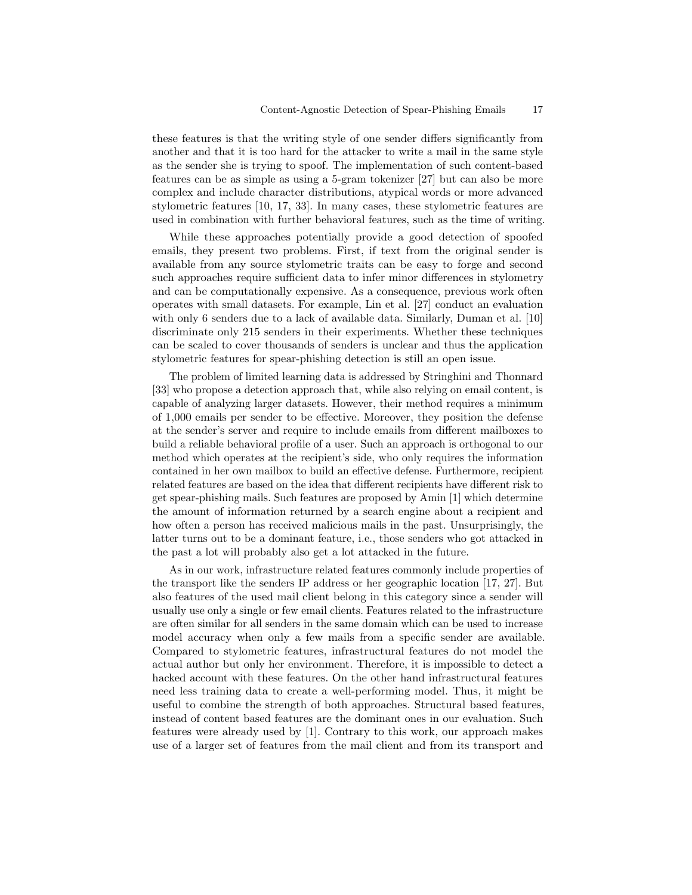these features is that the writing style of one sender differs significantly from another and that it is too hard for the attacker to write a mail in the same style as the sender she is trying to spoof. The implementation of such content-based features can be as simple as using a 5-gram tokenizer [27] but can also be more complex and include character distributions, atypical words or more advanced stylometric features [10, 17, 33]. In many cases, these stylometric features are used in combination with further behavioral features, such as the time of writing.

While these approaches potentially provide a good detection of spoofed emails, they present two problems. First, if text from the original sender is available from any source stylometric traits can be easy to forge and second such approaches require sufficient data to infer minor differences in stylometry and can be computationally expensive. As a consequence, previous work often operates with small datasets. For example, Lin et al. [27] conduct an evaluation with only 6 senders due to a lack of available data. Similarly, Duman et al. [10] discriminate only 215 senders in their experiments. Whether these techniques can be scaled to cover thousands of senders is unclear and thus the application stylometric features for spear-phishing detection is still an open issue.

The problem of limited learning data is addressed by Stringhini and Thonnard [33] who propose a detection approach that, while also relying on email content, is capable of analyzing larger datasets. However, their method requires a minimum of 1,000 emails per sender to be effective. Moreover, they position the defense at the sender's server and require to include emails from different mailboxes to build a reliable behavioral profile of a user. Such an approach is orthogonal to our method which operates at the recipient's side, who only requires the information contained in her own mailbox to build an effective defense. Furthermore, recipient related features are based on the idea that different recipients have different risk to get spear-phishing mails. Such features are proposed by Amin [1] which determine the amount of information returned by a search engine about a recipient and how often a person has received malicious mails in the past. Unsurprisingly, the latter turns out to be a dominant feature, i.e., those senders who got attacked in the past a lot will probably also get a lot attacked in the future.

As in our work, infrastructure related features commonly include properties of the transport like the senders IP address or her geographic location [17, 27]. But also features of the used mail client belong in this category since a sender will usually use only a single or few email clients. Features related to the infrastructure are often similar for all senders in the same domain which can be used to increase model accuracy when only a few mails from a specific sender are available. Compared to stylometric features, infrastructural features do not model the actual author but only her environment. Therefore, it is impossible to detect a hacked account with these features. On the other hand infrastructural features need less training data to create a well-performing model. Thus, it might be useful to combine the strength of both approaches. Structural based features, instead of content based features are the dominant ones in our evaluation. Such features were already used by [1]. Contrary to this work, our approach makes use of a larger set of features from the mail client and from its transport and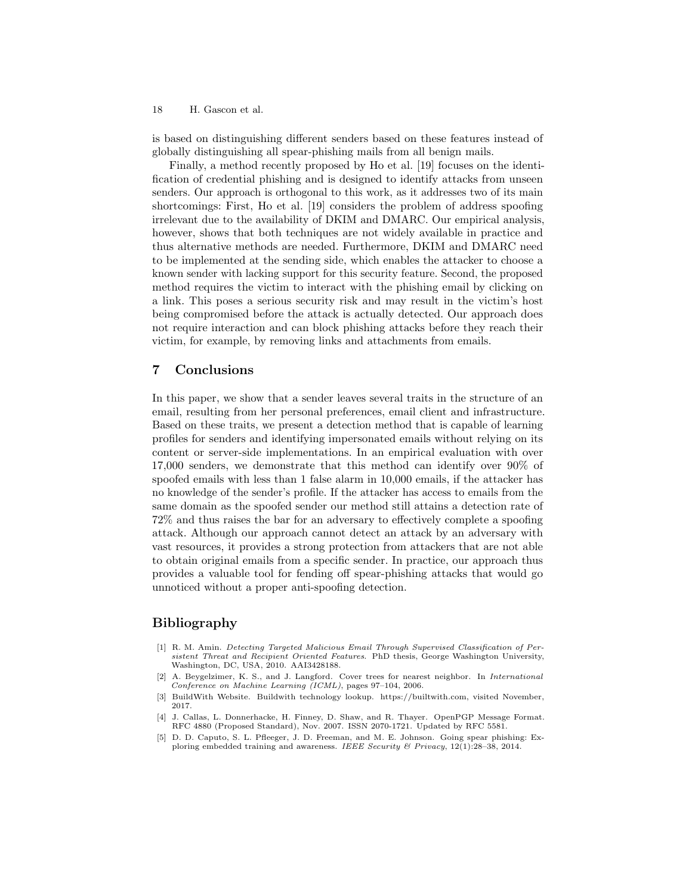is based on distinguishing different senders based on these features instead of globally distinguishing all spear-phishing mails from all benign mails.

Finally, a method recently proposed by Ho et al. [19] focuses on the identification of credential phishing and is designed to identify attacks from unseen senders. Our approach is orthogonal to this work, as it addresses two of its main shortcomings: First, Ho et al. [19] considers the problem of address spoofing irrelevant due to the availability of DKIM and DMARC. Our empirical analysis, however, shows that both techniques are not widely available in practice and thus alternative methods are needed. Furthermore, DKIM and DMARC need to be implemented at the sending side, which enables the attacker to choose a known sender with lacking support for this security feature. Second, the proposed method requires the victim to interact with the phishing email by clicking on a link. This poses a serious security risk and may result in the victim's host being compromised before the attack is actually detected. Our approach does not require interaction and can block phishing attacks before they reach their victim, for example, by removing links and attachments from emails.

# 7 Conclusions

In this paper, we show that a sender leaves several traits in the structure of an email, resulting from her personal preferences, email client and infrastructure. Based on these traits, we present a detection method that is capable of learning profiles for senders and identifying impersonated emails without relying on its content or server-side implementations. In an empirical evaluation with over 17,000 senders, we demonstrate that this method can identify over 90% of spoofed emails with less than 1 false alarm in 10,000 emails, if the attacker has no knowledge of the sender's profile. If the attacker has access to emails from the same domain as the spoofed sender our method still attains a detection rate of 72% and thus raises the bar for an adversary to effectively complete a spoofing attack. Although our approach cannot detect an attack by an adversary with vast resources, it provides a strong protection from attackers that are not able to obtain original emails from a specific sender. In practice, our approach thus provides a valuable tool for fending off spear-phishing attacks that would go unnoticed without a proper anti-spoofing detection.

## Bibliography

- [1] R. M. Amin. Detecting Targeted Malicious Email Through Supervised Classification of Persistent Threat and Recipient Oriented Features. PhD thesis, George Washington University, Washington, DC, USA, 2010. AAI3428188.
- [2] A. Beygelzimer, K. S., and J. Langford. Cover trees for nearest neighbor. In International Conference on Machine Learning (ICML), pages 97–104, 2006.
- [3] BuildWith Website. Buildwith technology lookup. https://builtwith.com, visited November, 2017.
- [4] J. Callas, L. Donnerhacke, H. Finney, D. Shaw, and R. Thayer. OpenPGP Message Format. RFC 4880 (Proposed Standard), Nov. 2007. ISSN 2070-1721. Updated by RFC 5581.
- [5] D. D. Caputo, S. L. Pfleeger, J. D. Freeman, and M. E. Johnson. Going spear phishing: Exploring embedded training and awareness. IEEE Security & Privacy, 12(1):28-38, 2014.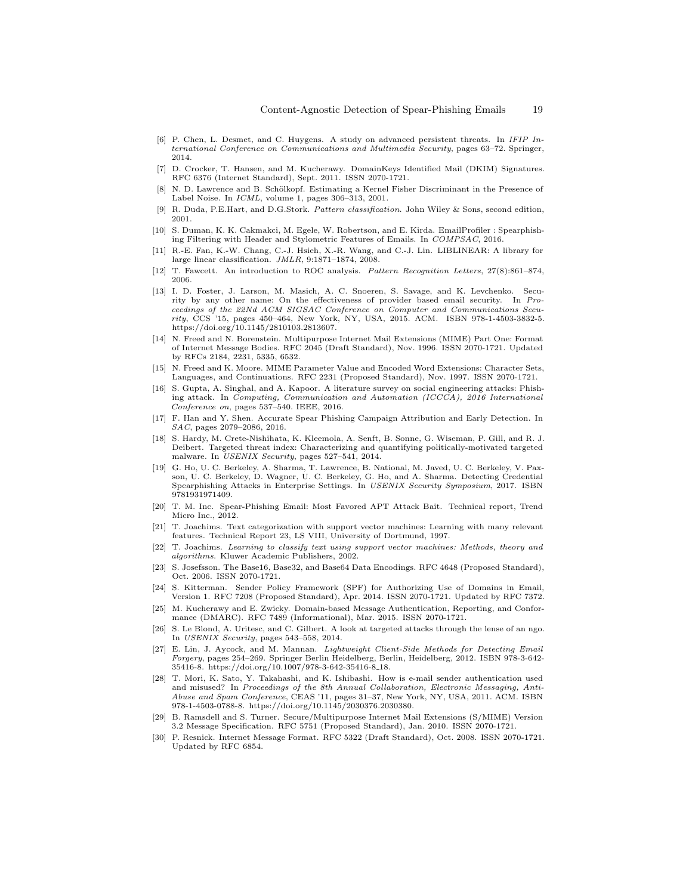- [6] P. Chen, L. Desmet, and C. Huygens. A study on advanced persistent threats. In IFIP International Conference on Communications and Multimedia Security, pages 63–72. Springer, 2014.
- [7] D. Crocker, T. Hansen, and M. Kucherawy. DomainKeys Identified Mail (DKIM) Signatures. RFC 6376 (Internet Standard), Sept. 2011. ISSN 2070-1721.
- [8] N. D. Lawrence and B. Schölkopf. Estimating a Kernel Fisher Discriminant in the Presence of Label Noise. In ICML, volume 1, pages 306–313, 2001.
- [9] R. Duda, P.E.Hart, and D.G.Stork. Pattern classification. John Wiley & Sons, second edition, 2001.
- [10] S. Duman, K. K. Cakmakci, M. Egele, W. Robertson, and E. Kirda. EmailProfiler : Spearphishing Filtering with Header and Stylometric Features of Emails. In COMPSAC, 2016.
- [11] R.-E. Fan, K.-W. Chang, C.-J. Hsieh, X.-R. Wang, and C.-J. Lin. LIBLINEAR: A library for large linear classification. JMLR, 9:1871–1874, 2008.
- [12] T. Fawcett. An introduction to ROC analysis. Pattern Recognition Letters, 27(8):861–874, 2006.
- [13] I. D. Foster, J. Larson, M. Masich, A. C. Snoeren, S. Savage, and K. Levchenko. Security by any other name: On the effectiveness of provider based email security. In Proceedings of the 22Nd ACM SIGSAC Conference on Computer and Communications Security, CCS '15, pages 450–464, New York, NY, USA, 2015. ACM. ISBN 978-1-4503-3832-5. https://doi.org/10.1145/2810103.2813607.
- [14] N. Freed and N. Borenstein. Multipurpose Internet Mail Extensions (MIME) Part One: Format of Internet Message Bodies. RFC 2045 (Draft Standard), Nov. 1996. ISSN 2070-1721. Updated by RFCs 2184, 2231, 5335, 6532.
- [15] N. Freed and K. Moore. MIME Parameter Value and Encoded Word Extensions: Character Sets, Languages, and Continuations. RFC 2231 (Proposed Standard), Nov. 1997. ISSN 2070-1721.
- [16] S. Gupta, A. Singhal, and A. Kapoor. A literature survey on social engineering attacks: Phishing attack. In Computing, Communication and Automation (ICCCA), 2016 International Conference on, pages 537–540. IEEE, 2016.
- [17] F. Han and Y. Shen. Accurate Spear Phishing Campaign Attribution and Early Detection. In SAC, pages 2079–2086, 2016.
- [18] S. Hardy, M. Crete-Nishihata, K. Kleemola, A. Senft, B. Sonne, G. Wiseman, P. Gill, and R. J. Deibert. Targeted threat index: Characterizing and quantifying politically-motivated targeted malware. In USENIX Security, pages 527–541, 2014.
- [19] G. Ho, U. C. Berkeley, A. Sharma, T. Lawrence, B. National, M. Javed, U. C. Berkeley, V. Paxson, U. C. Berkeley, D. Wagner, U. C. Berkeley, G. Ho, and A. Sharma. Detecting Credential Spearphishing Attacks in Enterprise Settings. In USENIX Security Symposium, 2017. ISBN 9781931971409.
- [20] T. M. Inc. Spear-Phishing Email: Most Favored APT Attack Bait. Technical report, Trend Micro Inc., 2012.
- [21] T. Joachims. Text categorization with support vector machines: Learning with many relevant features. Technical Report 23, LS VIII, University of Dortmund, 1997.
- [22] T. Joachims. Learning to classify text using support vector machines: Methods, theory and algorithms. Kluwer Academic Publishers, 2002.
- [23] S. Josefsson. The Base16, Base32, and Base64 Data Encodings. RFC 4648 (Proposed Standard), Oct. 2006. ISSN 2070-1721.
- [24] S. Kitterman. Sender Policy Framework (SPF) for Authorizing Use of Domains in Email, Version 1. RFC 7208 (Proposed Standard), Apr. 2014. ISSN 2070-1721. Updated by RFC 7372.
- [25] M. Kucherawy and E. Zwicky. Domain-based Message Authentication, Reporting, and Conformance (DMARC). RFC 7489 (Informational), Mar. 2015. ISSN 2070-1721.
- [26] S. Le Blond, A. Uritesc, and C. Gilbert. A look at targeted attacks through the lense of an ngo. In USENIX Security, pages 543–558, 2014.
- [27] E. Lin, J. Aycock, and M. Mannan. Lightweight Client-Side Methods for Detecting Email Forgery, pages 254–269. Springer Berlin Heidelberg, Berlin, Heidelberg, 2012. ISBN 978-3-642- 35416-8. https://doi.org/10.1007/978-3-642-35416-8 18.
- [28] T. Mori, K. Sato, Y. Takahashi, and K. Ishibashi. How is e-mail sender authentication used and misused? In Proceedings of the 8th Annual Collaboration, Electronic Messaging, Anti-<br>Abuse and Spam Conference, CEAS '11, pages 31–37, New York, NY, USA, 2011. ACM. ISBN 978-1-4503-0788-8. https://doi.org/10.1145/2030376.2030380.
- [29] B. Ramsdell and S. Turner. Secure/Multipurpose Internet Mail Extensions (S/MIME) Version 3.2 Message Specification. RFC 5751 (Proposed Standard), Jan. 2010. ISSN 2070-1721.
- [30] P. Resnick. Internet Message Format. RFC 5322 (Draft Standard), Oct. 2008. ISSN 2070-1721. Updated by RFC 6854.